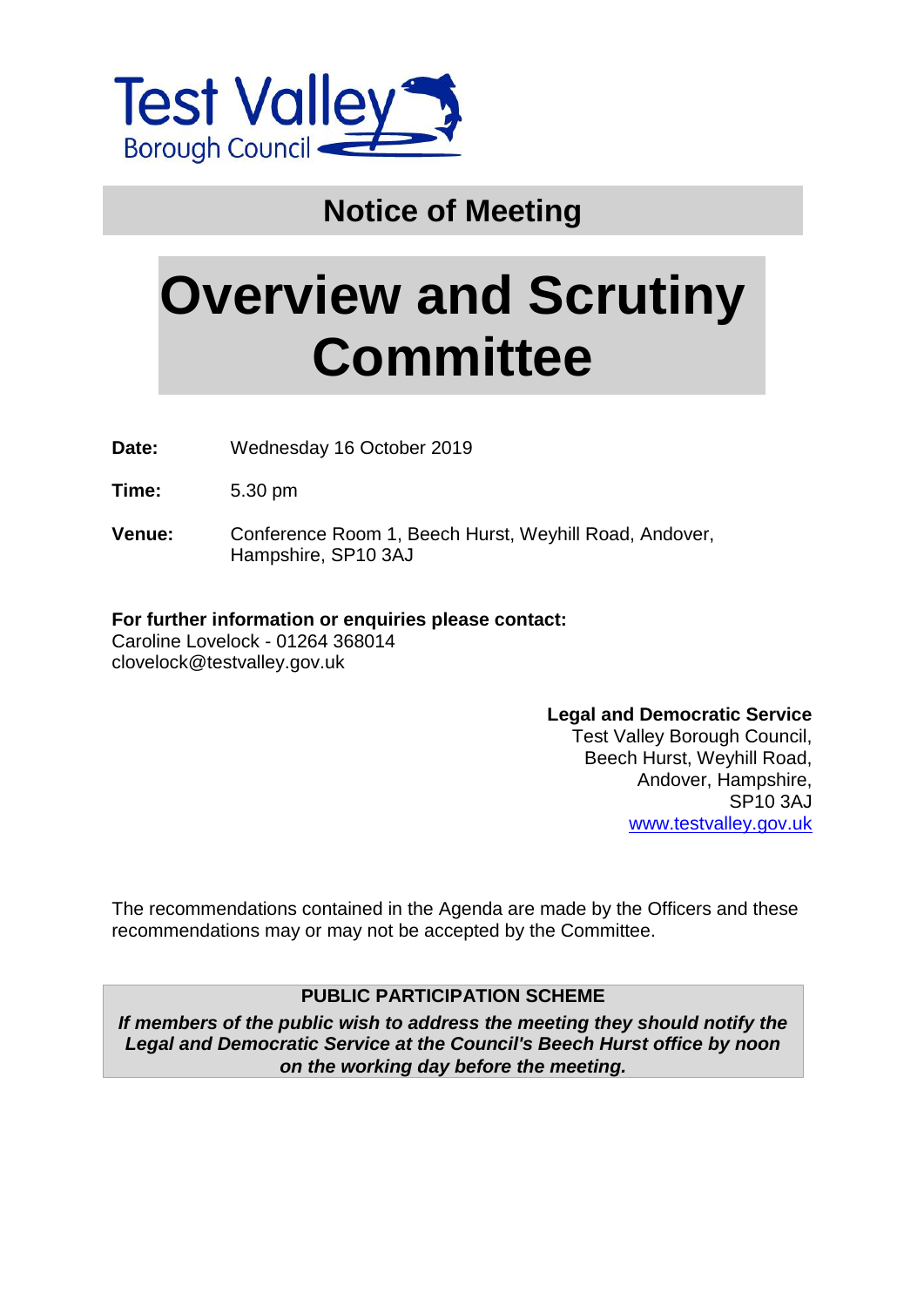

## **Notice of Meeting**

# **Overview and Scrutiny Committee**

**Date:** Wednesday 16 October 2019

**Time:** 5.30 pm

**Venue:** Conference Room 1, Beech Hurst, Weyhill Road, Andover, Hampshire, SP10 3AJ

#### **For further information or enquiries please contact:**

Caroline Lovelock - 01264 368014 clovelock@testvalley.gov.uk

#### **Legal and Democratic Service**

Test Valley Borough Council, Beech Hurst, Weyhill Road, Andover, Hampshire, SP10 3AJ [www.testvalley.gov.uk](http://www.testvalley.gov.uk/)

The recommendations contained in the Agenda are made by the Officers and these recommendations may or may not be accepted by the Committee.

#### **PUBLIC PARTICIPATION SCHEME**

*If members of the public wish to address the meeting they should notify the Legal and Democratic Service at the Council's Beech Hurst office by noon on the working day before the meeting.*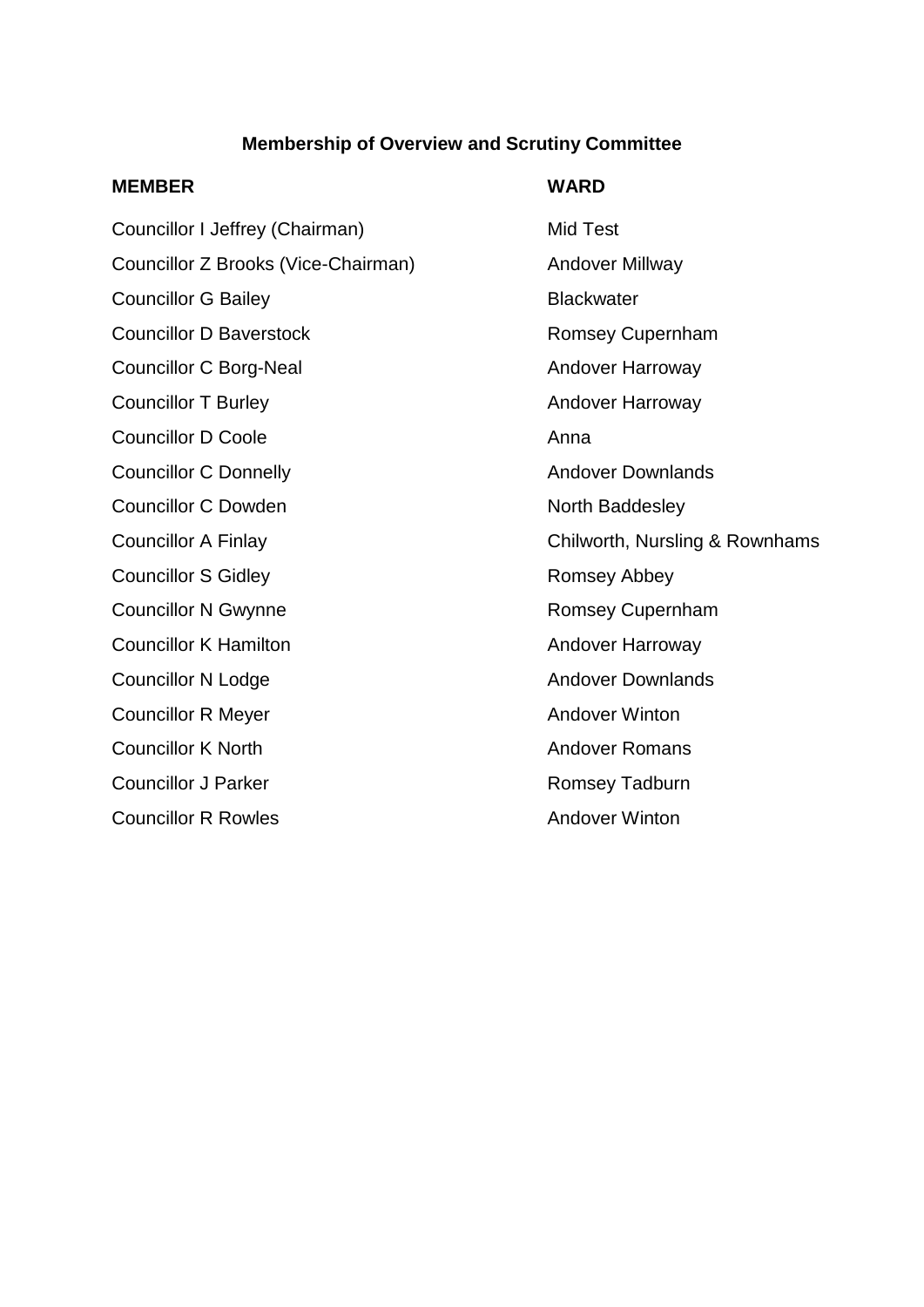#### **Membership of Overview and Scrutiny Committee**

#### **MEMBER WARD**

Councillor I Jeffrey (Chairman) Mid Test Councillor Z Brooks (Vice-Chairman) Andover Millway Councillor G Bailey **Blackwater** Blackwater Councillor D Baverstock **Romsey Cupernham** Councillor C Borg-Neal Andover Harroway Councillor T Burley **Andover Harroway** Councillor D Coole **Anna** Councillor C Donnelly **Andover Downlands** Councillor C Dowden North Baddesley Councillor S Gidley **Romsey Abbey** Councillor N Gwynne **Romsey Cupernham** Councillor K Hamilton **Andover Harroway** Councillor N Lodge **Andover Downlands** Councillor R Meyer **Andover Winton Councillor K North Councillor K North Andover Romans** Councillor J Parker **Romsey Tadburn** Romsey Tadburn **Councillor R Rowles Councillor R Rowles** 

Councillor A Finlay Councillor A Finlay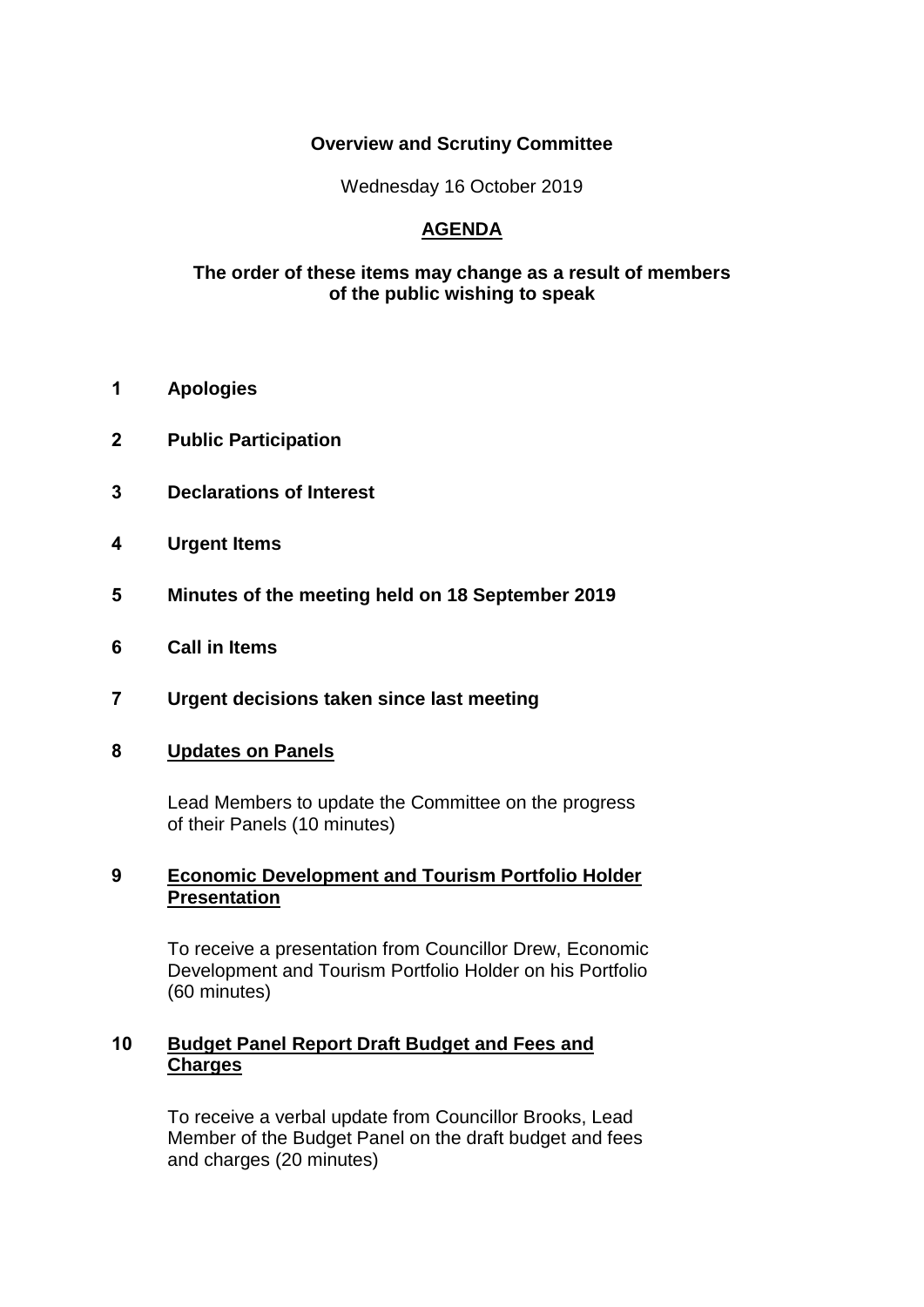#### **Overview and Scrutiny Committee**

Wednesday 16 October 2019

### **AGENDA**

#### **The order of these items may change as a result of members of the public wishing to speak**

- **1 Apologies**
- **2 Public Participation**
- **3 Declarations of Interest**
- **4 Urgent Items**
- **5 Minutes of the meeting held on 18 September 2019**
- **6 Call in Items**
- **7 Urgent decisions taken since last meeting**

#### **8 Updates on Panels**

Lead Members to update the Committee on the progress of their Panels (10 minutes)

#### **9 Economic Development and Tourism Portfolio Holder Presentation**

To receive a presentation from Councillor Drew, Economic Development and Tourism Portfolio Holder on his Portfolio (60 minutes)

#### **10 Budget Panel Report Draft Budget and Fees and Charges**

To receive a verbal update from Councillor Brooks, Lead Member of the Budget Panel on the draft budget and fees and charges (20 minutes)